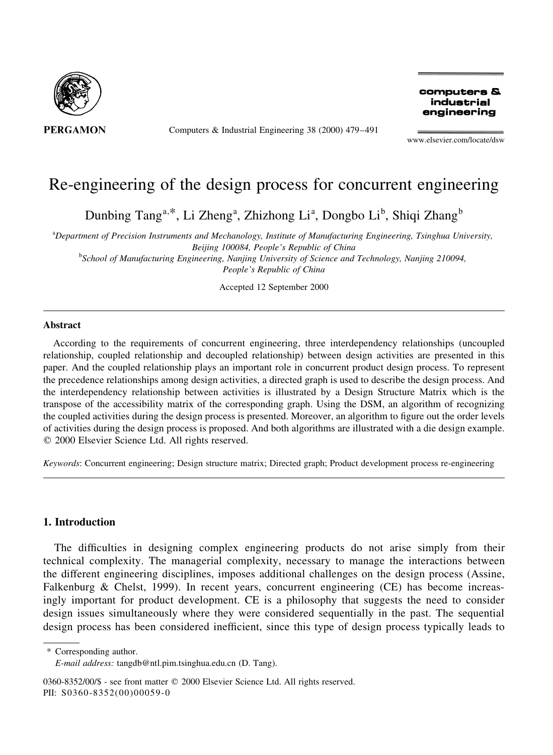

Computers  $&$  Industrial Engineering 38 (2000) 479–491

computers & industrial engineering

www.elsevier.com/locate/dsw

## Re-engineering of the design process for concurrent engineering

Dunbing Tang<sup>a,\*</sup>, Li Zheng<sup>a</sup>, Zhizhong Li<sup>a</sup>, Dongbo Li<sup>b</sup>, Shiqi Zhang<sup>b</sup>

a Department of Precision Instruments and Mechanology, Institute of Manufacturing Engineering, Tsinghua University, Beijing 100084, People's Republic of China

<sup>b</sup>School of Manufacturing Engineering, Nanjing University of Science and Technology, Nanjing 210094, People's Republic of China

Accepted 12 September 2000

## Abstract

According to the requirements of concurrent engineering, three interdependency relationships (uncoupled relationship, coupled relationship and decoupled relationship) between design activities are presented in this paper. And the coupled relationship plays an important role in concurrent product design process. To represent the precedence relationships among design activities, a directed graph is used to describe the design process. And the interdependency relationship between activities is illustrated by a Design Structure Matrix which is the transpose of the accessibility matrix of the corresponding graph. Using the DSM, an algorithm of recognizing the coupled activities during the design process is presented. Moreover, an algorithm to figure out the order levels of activities during the design process is proposed. And both algorithms are illustrated with a die design example.  $Q$  2000 Elsevier Science Ltd. All rights reserved.

Keywords: Concurrent engineering; Design structure matrix; Directed graph; Product development process re-engineering

## 1. Introduction

The difficulties in designing complex engineering products do not arise simply from their technical complexity. The managerial complexity, necessary to manage the interactions between the different engineering disciplines, imposes additional challenges on the design process (Assine, Falkenburg & Chelst, 1999). In recent years, concurrent engineering (CE) has become increasingly important for product development. CE is a philosophy that suggests the need to consider design issues simultaneously where they were considered sequentially in the past. The sequential design process has been considered inefficient, since this type of design process typically leads to

\* Corresponding author.

0360-8352/00/\$ - see front matter  $\odot$  2000 Elsevier Science Ltd. All rights reserved. PII: S0360-8352(00)00059-0

E-mail address: tangdb@ntl.pim.tsinghua.edu.cn (D. Tang).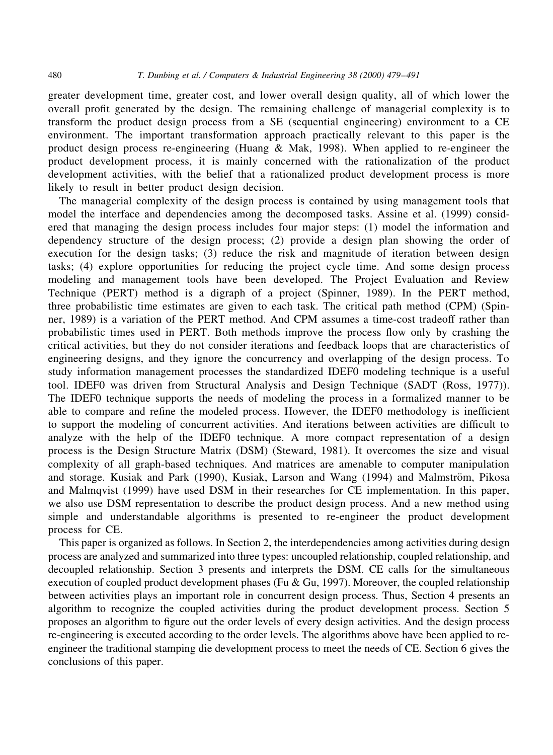greater development time, greater cost, and lower overall design quality, all of which lower the overall profit generated by the design. The remaining challenge of managerial complexity is to transform the product design process from a SE (sequential engineering) environment to a CE environment. The important transformation approach practically relevant to this paper is the product design process re-engineering (Huang  $\&$  Mak, 1998). When applied to re-engineer the product development process, it is mainly concerned with the rationalization of the product development activities, with the belief that a rationalized product development process is more likely to result in better product design decision.

The managerial complexity of the design process is contained by using management tools that model the interface and dependencies among the decomposed tasks. Assine et al. (1999) considered that managing the design process includes four major steps: (1) model the information and dependency structure of the design process; (2) provide a design plan showing the order of execution for the design tasks; (3) reduce the risk and magnitude of iteration between design tasks; (4) explore opportunities for reducing the project cycle time. And some design process modeling and management tools have been developed. The Project Evaluation and Review Technique (PERT) method is a digraph of a project (Spinner, 1989). In the PERT method, three probabilistic time estimates are given to each task. The critical path method (CPM) (Spinner, 1989) is a variation of the PERT method. And CPM assumes a time-cost tradeoff rather than probabilistic times used in PERT. Both methods improve the process flow only by crashing the critical activities, but they do not consider iterations and feedback loops that are characteristics of engineering designs, and they ignore the concurrency and overlapping of the design process. To study information management processes the standardized IDEF0 modeling technique is a useful tool. IDEF0 was driven from Structural Analysis and Design Technique (SADT (Ross, 1977)). The IDEF0 technique supports the needs of modeling the process in a formalized manner to be able to compare and refine the modeled process. However, the IDEF0 methodology is inefficient to support the modeling of concurrent activities. And iterations between activities are difficult to analyze with the help of the IDEF0 technique. A more compact representation of a design process is the Design Structure Matrix (DSM) (Steward, 1981). It overcomes the size and visual complexity of all graph-based techniques. And matrices are amenable to computer manipulation and storage. Kusiak and Park (1990), Kusiak, Larson and Wang (1994) and Malmström, Pikosa and Malmqvist (1999) have used DSM in their researches for CE implementation. In this paper, we also use DSM representation to describe the product design process. And a new method using simple and understandable algorithms is presented to re-engineer the product development process for CE.

This paper is organized as follows. In Section 2, the interdependencies among activities during design process are analyzed and summarized into three types: uncoupled relationship, coupled relationship, and decoupled relationship. Section 3 presents and interprets the DSM. CE calls for the simultaneous execution of coupled product development phases (Fu & Gu, 1997). Moreover, the coupled relationship between activities plays an important role in concurrent design process. Thus, Section 4 presents an algorithm to recognize the coupled activities during the product development process. Section 5 proposes an algorithm to figure out the order levels of every design activities. And the design process re-engineering is executed according to the order levels. The algorithms above have been applied to reengineer the traditional stamping die development process to meet the needs of CE. Section 6 gives the conclusions of this paper.